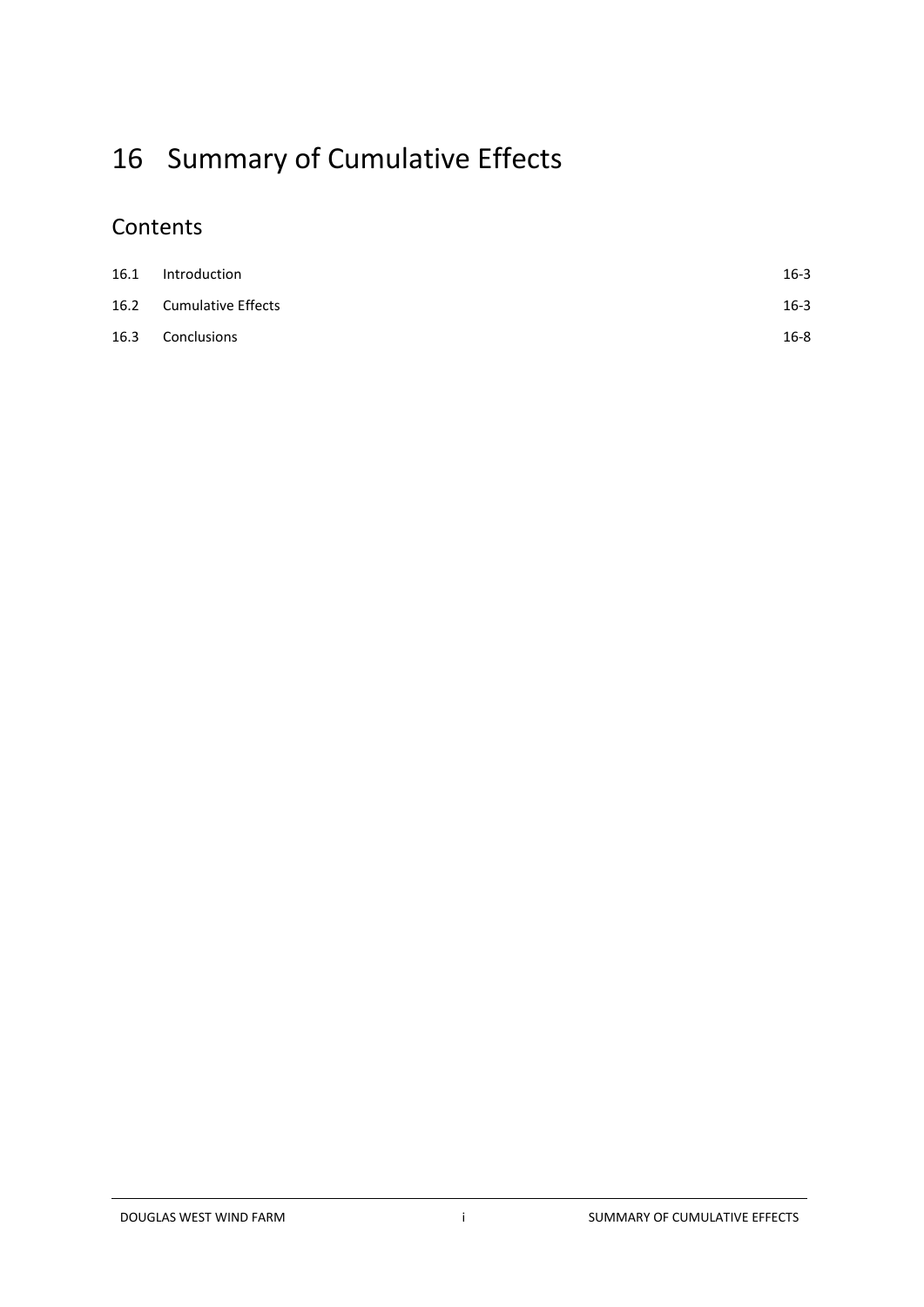# 16 Summary of Cumulative Effects

## **Contents**

| 16.1 | Introduction       | $16-3$   |
|------|--------------------|----------|
| 16.2 | Cumulative Effects | $16-3$   |
| 16.3 | Conclusions        | $16 - 8$ |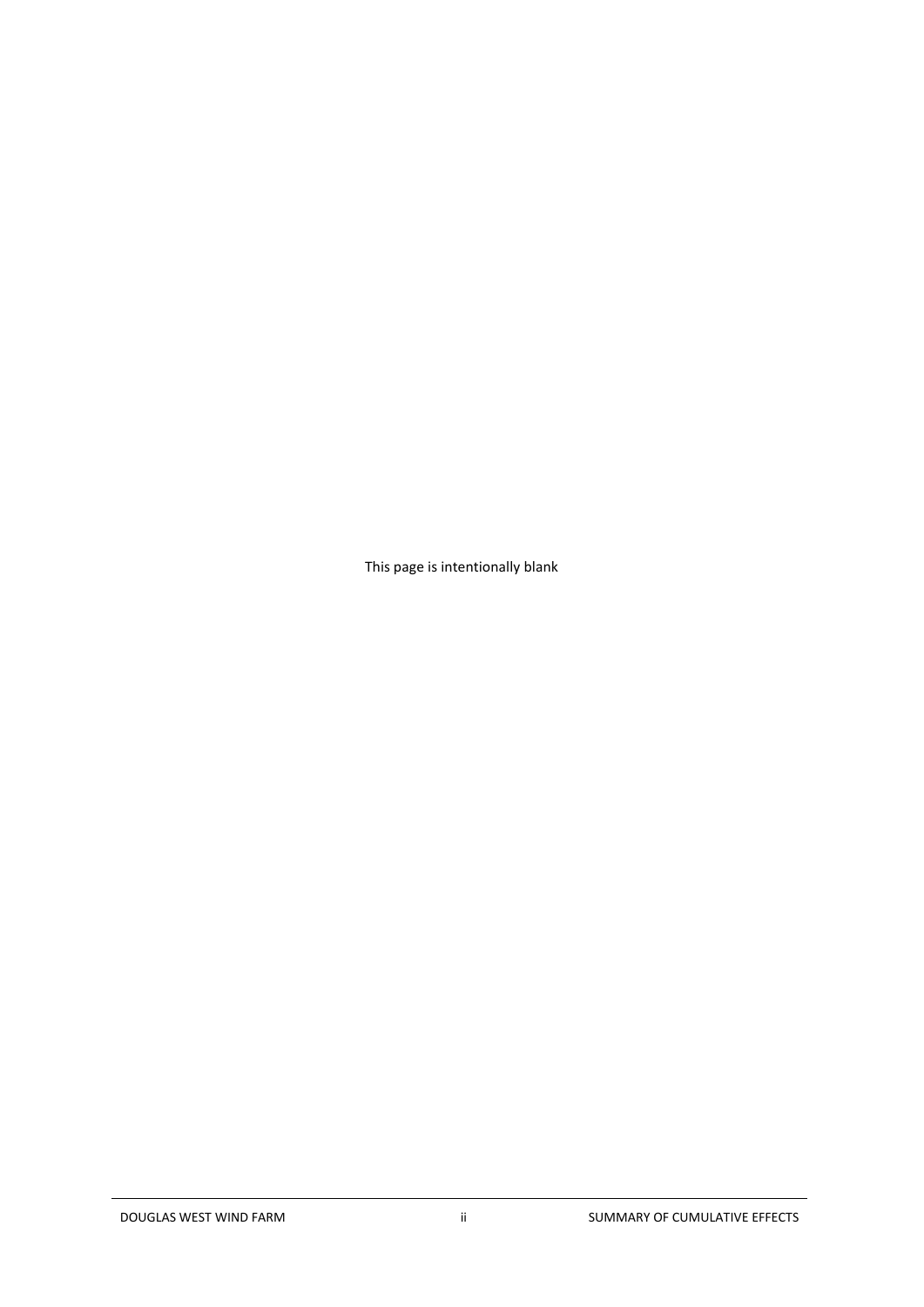This page is intentionally blank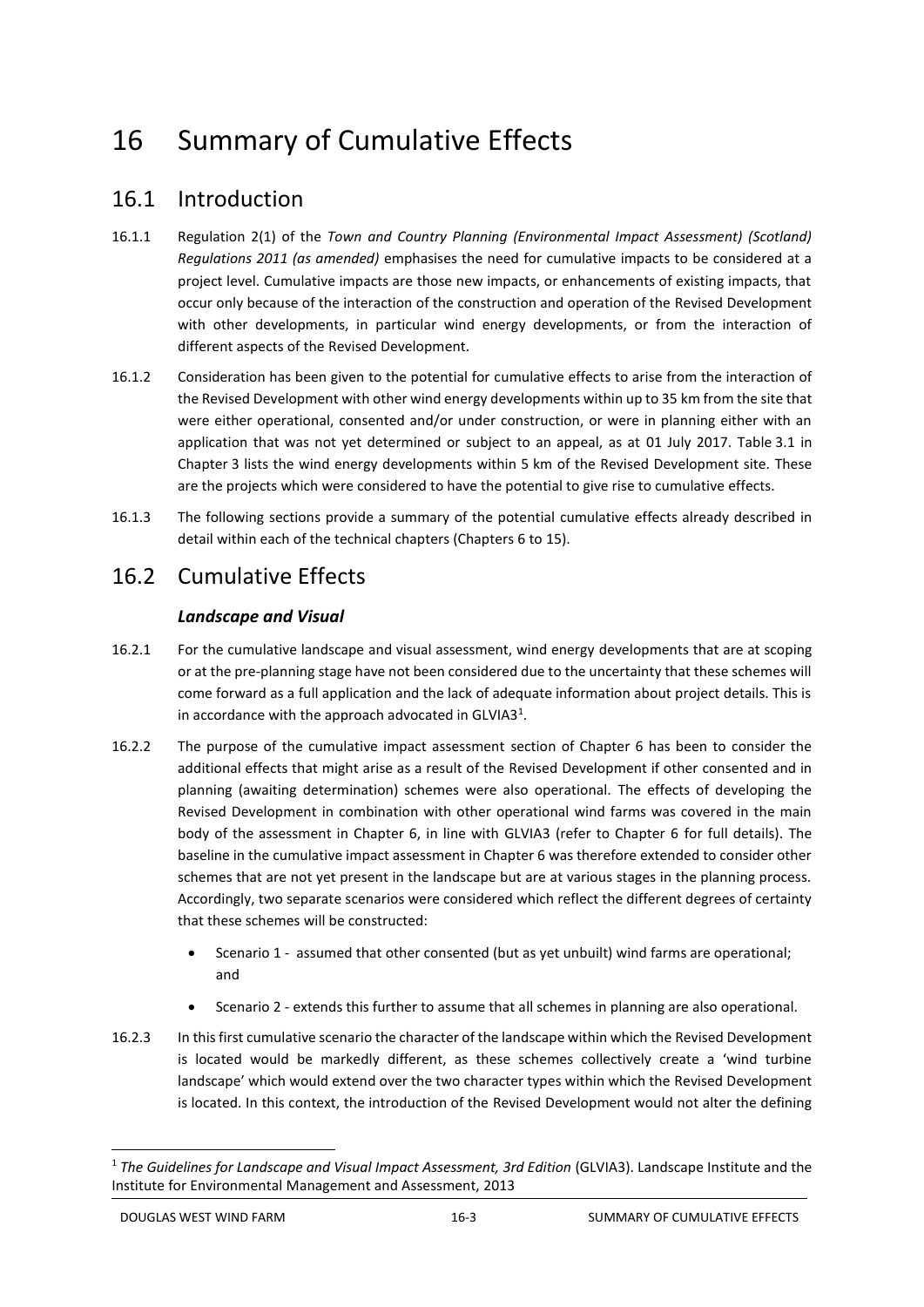## 16 Summary of Cumulative Effects

## <span id="page-2-0"></span>16.1 Introduction

- 16.1.1 Regulation 2(1) of the *Town and Country Planning (Environmental Impact Assessment) (Scotland) Regulations 2011 (as amended)* emphasises the need for cumulative impacts to be considered at a project level. Cumulative impacts are those new impacts, or enhancements of existing impacts, that occur only because of the interaction of the construction and operation of the Revised Development with other developments, in particular wind energy developments, or from the interaction of different aspects of the Revised Development.
- 16.1.2 Consideration has been given to the potential for cumulative effects to arise from the interaction of the Revised Development with other wind energy developments within up to 35 km from the site that were either operational, consented and/or under construction, or were in planning either with an application that was not yet determined or subject to an appeal, as at 01 July 2017. Table 3.1 in Chapter 3 lists the wind energy developments within 5 km of the Revised Development site. These are the projects which were considered to have the potential to give rise to cumulative effects.
- 16.1.3 The following sections provide a summary of the potential cumulative effects already described in detail within each of the technical chapters (Chapters 6 to 15).

## <span id="page-2-1"></span>16.2 Cumulative Effects

#### *Landscape and Visual*

- 16.2.1 For the cumulative landscape and visual assessment, wind energy developments that are at scoping or at the pre-planning stage have not been considered due to the uncertainty that these schemes will come forward as a full application and the lack of adequate information about project details. This is in accordance with the approach advocated in GLVIA3<sup>1</sup>.
- 16.2.2 The purpose of the cumulative impact assessment section of Chapter 6 has been to consider the additional effects that might arise as a result of the Revised Development if other consented and in planning (awaiting determination) schemes were also operational. The effects of developing the Revised Development in combination with other operational wind farms was covered in the main body of the assessment in Chapter 6, in line with GLVIA3 (refer to Chapter 6 for full details). The baseline in the cumulative impact assessment in Chapter 6 was therefore extended to consider other schemes that are not yet present in the landscape but are at various stages in the planning process. Accordingly, two separate scenarios were considered which reflect the different degrees of certainty that these schemes will be constructed:
	- Scenario 1 assumed that other consented (but as yet unbuilt) wind farms are operational; and
	- Scenario 2 extends this further to assume that all schemes in planning are also operational.
- 16.2.3 In this first cumulative scenario the character of the landscape within which the Revised Development is located would be markedly different, as these schemes collectively create a 'wind turbine landscape' which would extend over the two character types within which the Revised Development is located. In this context, the introduction of the Revised Development would not alter the defining

**.** 

<sup>1</sup> *The Guidelines for Landscape and Visual Impact Assessment, 3rd Edition* (GLVIA3). Landscape Institute and the Institute for Environmental Management and Assessment, 2013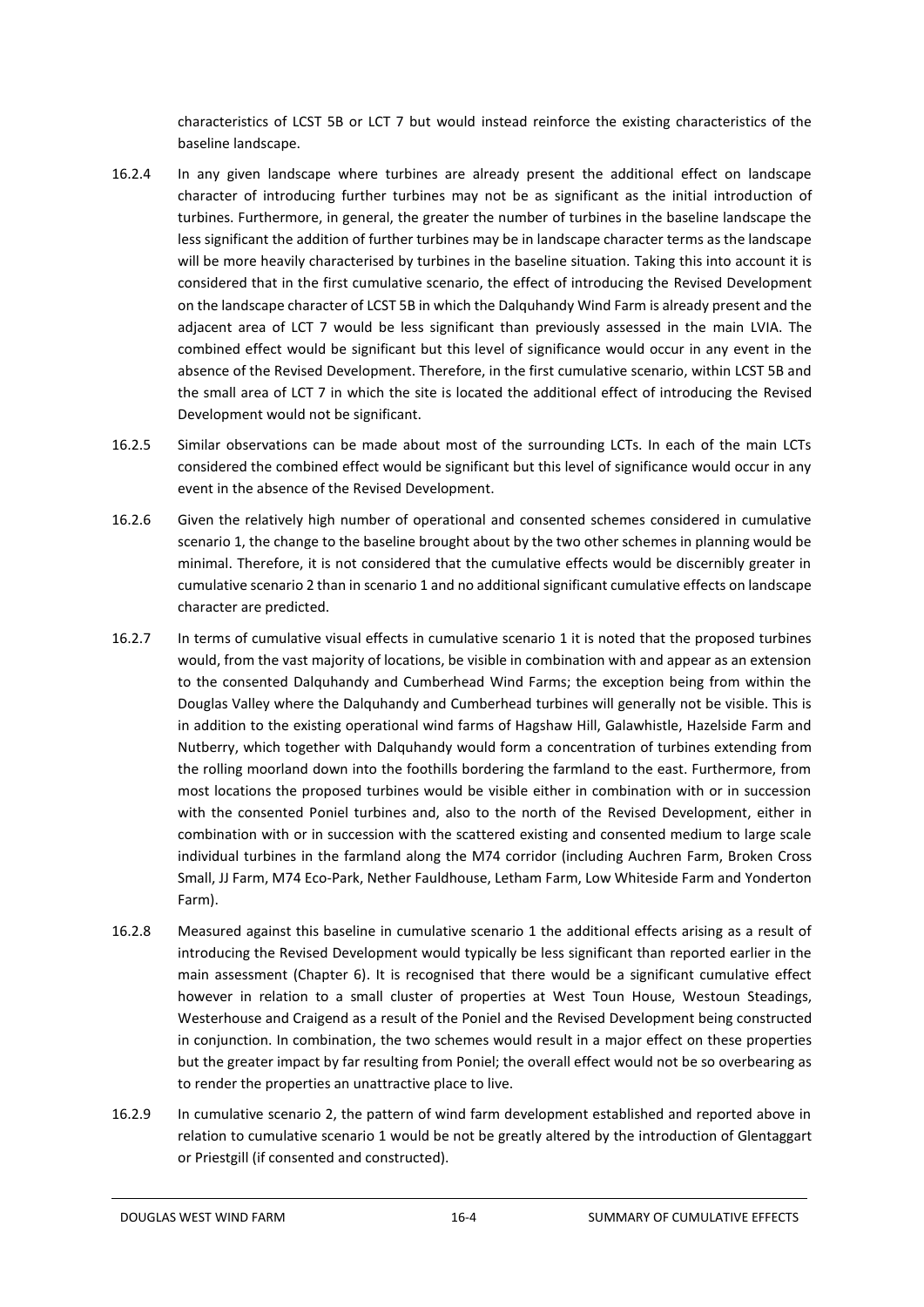characteristics of LCST 5B or LCT 7 but would instead reinforce the existing characteristics of the baseline landscape.

- 16.2.4 In any given landscape where turbines are already present the additional effect on landscape character of introducing further turbines may not be as significant as the initial introduction of turbines. Furthermore, in general, the greater the number of turbines in the baseline landscape the less significant the addition of further turbines may be in landscape character terms as the landscape will be more heavily characterised by turbines in the baseline situation. Taking this into account it is considered that in the first cumulative scenario, the effect of introducing the Revised Development on the landscape character of LCST 5B in which the Dalquhandy Wind Farm is already present and the adjacent area of LCT 7 would be less significant than previously assessed in the main LVIA. The combined effect would be significant but this level of significance would occur in any event in the absence of the Revised Development. Therefore, in the first cumulative scenario, within LCST 5B and the small area of LCT 7 in which the site is located the additional effect of introducing the Revised Development would not be significant.
- 16.2.5 Similar observations can be made about most of the surrounding LCTs. In each of the main LCTs considered the combined effect would be significant but this level of significance would occur in any event in the absence of the Revised Development.
- 16.2.6 Given the relatively high number of operational and consented schemes considered in cumulative scenario 1, the change to the baseline brought about by the two other schemes in planning would be minimal. Therefore, it is not considered that the cumulative effects would be discernibly greater in cumulative scenario 2 than in scenario 1 and no additional significant cumulative effects on landscape character are predicted.
- 16.2.7 In terms of cumulative visual effects in cumulative scenario 1 it is noted that the proposed turbines would, from the vast majority of locations, be visible in combination with and appear as an extension to the consented Dalquhandy and Cumberhead Wind Farms; the exception being from within the Douglas Valley where the Dalquhandy and Cumberhead turbines will generally not be visible. This is in addition to the existing operational wind farms of Hagshaw Hill, Galawhistle, Hazelside Farm and Nutberry, which together with Dalquhandy would form a concentration of turbines extending from the rolling moorland down into the foothills bordering the farmland to the east. Furthermore, from most locations the proposed turbines would be visible either in combination with or in succession with the consented Poniel turbines and, also to the north of the Revised Development, either in combination with or in succession with the scattered existing and consented medium to large scale individual turbines in the farmland along the M74 corridor (including Auchren Farm, Broken Cross Small, JJ Farm, M74 Eco-Park, Nether Fauldhouse, Letham Farm, Low Whiteside Farm and Yonderton Farm).
- 16.2.8 Measured against this baseline in cumulative scenario 1 the additional effects arising as a result of introducing the Revised Development would typically be less significant than reported earlier in the main assessment (Chapter 6). It is recognised that there would be a significant cumulative effect however in relation to a small cluster of properties at West Toun House, Westoun Steadings, Westerhouse and Craigend as a result of the Poniel and the Revised Development being constructed in conjunction. In combination, the two schemes would result in a major effect on these properties but the greater impact by far resulting from Poniel; the overall effect would not be so overbearing as to render the properties an unattractive place to live.
- 16.2.9 In cumulative scenario 2, the pattern of wind farm development established and reported above in relation to cumulative scenario 1 would be not be greatly altered by the introduction of Glentaggart or Priestgill (if consented and constructed).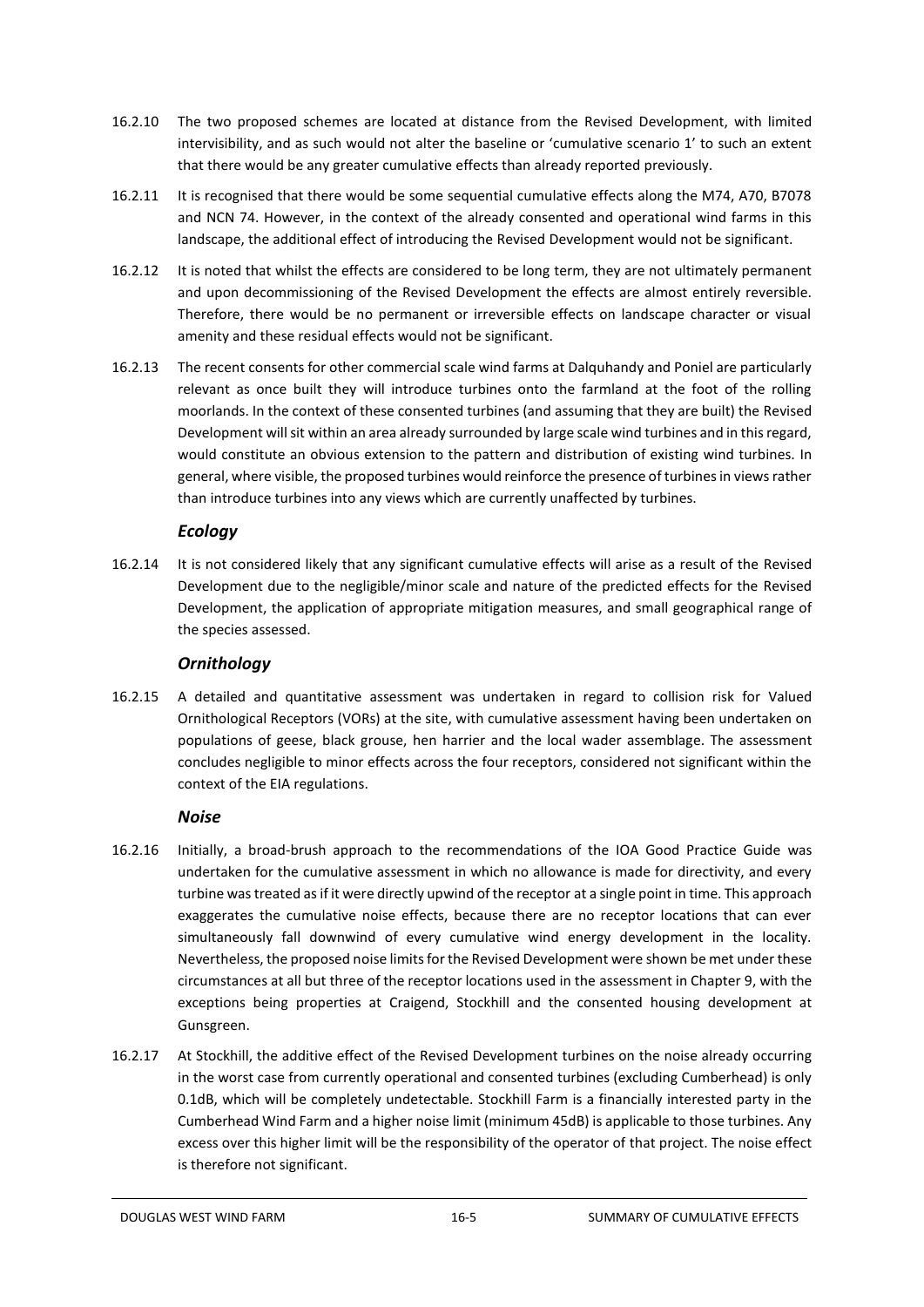- 16.2.10 The two proposed schemes are located at distance from the Revised Development, with limited intervisibility, and as such would not alter the baseline or 'cumulative scenario 1' to such an extent that there would be any greater cumulative effects than already reported previously.
- 16.2.11 It is recognised that there would be some sequential cumulative effects along the M74, A70, B7078 and NCN 74. However, in the context of the already consented and operational wind farms in this landscape, the additional effect of introducing the Revised Development would not be significant.
- 16.2.12 It is noted that whilst the effects are considered to be long term, they are not ultimately permanent and upon decommissioning of the Revised Development the effects are almost entirely reversible. Therefore, there would be no permanent or irreversible effects on landscape character or visual amenity and these residual effects would not be significant.
- 16.2.13 The recent consents for other commercial scale wind farms at Dalquhandy and Poniel are particularly relevant as once built they will introduce turbines onto the farmland at the foot of the rolling moorlands. In the context of these consented turbines (and assuming that they are built) the Revised Development will sit within an area already surrounded by large scale wind turbines and in this regard, would constitute an obvious extension to the pattern and distribution of existing wind turbines. In general, where visible, the proposed turbines would reinforce the presence of turbines in views rather than introduce turbines into any views which are currently unaffected by turbines.

#### *Ecology*

16.2.14 It is not considered likely that any significant cumulative effects will arise as a result of the Revised Development due to the negligible/minor scale and nature of the predicted effects for the Revised Development, the application of appropriate mitigation measures, and small geographical range of the species assessed.

#### *Ornithology*

16.2.15 A detailed and quantitative assessment was undertaken in regard to collision risk for Valued Ornithological Receptors (VORs) at the site, with cumulative assessment having been undertaken on populations of geese, black grouse, hen harrier and the local wader assemblage. The assessment concludes negligible to minor effects across the four receptors, considered not significant within the context of the EIA regulations.

#### *Noise*

- 16.2.16 Initially, a broad-brush approach to the recommendations of the IOA Good Practice Guide was undertaken for the cumulative assessment in which no allowance is made for directivity, and every turbine was treated as if it were directly upwind of the receptor at a single point in time. This approach exaggerates the cumulative noise effects, because there are no receptor locations that can ever simultaneously fall downwind of every cumulative wind energy development in the locality. Nevertheless, the proposed noise limits for the Revised Development were shown be met under these circumstances at all but three of the receptor locations used in the assessment in Chapter 9, with the exceptions being properties at Craigend, Stockhill and the consented housing development at Gunsgreen.
- 16.2.17 At Stockhill, the additive effect of the Revised Development turbines on the noise already occurring in the worst case from currently operational and consented turbines (excluding Cumberhead) is only 0.1dB, which will be completely undetectable. Stockhill Farm is a financially interested party in the Cumberhead Wind Farm and a higher noise limit (minimum 45dB) is applicable to those turbines. Any excess over this higher limit will be the responsibility of the operator of that project. The noise effect is therefore not significant.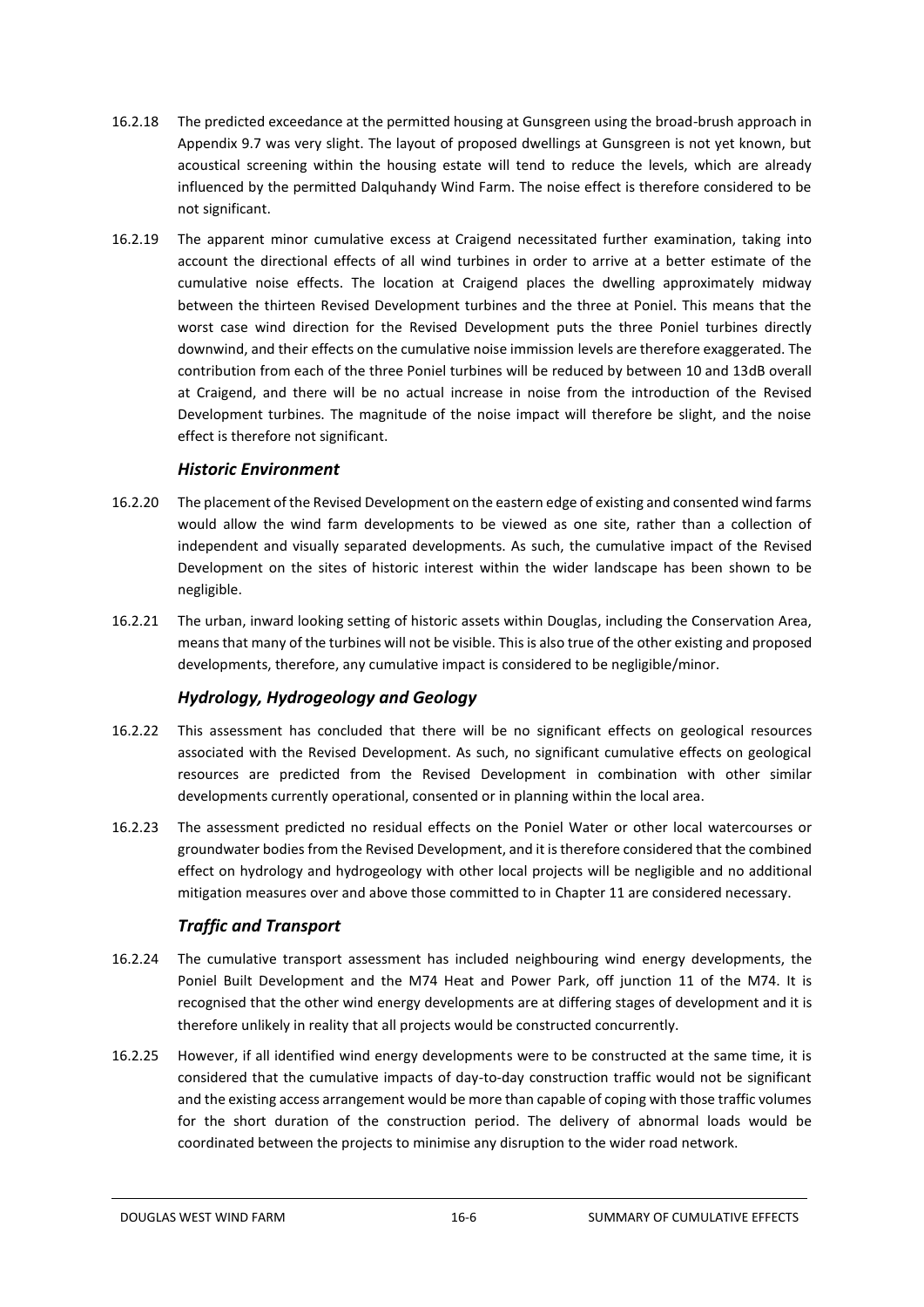- 16.2.18 The predicted exceedance at the permitted housing at Gunsgreen using the broad-brush approach in Appendix 9.7 was very slight. The layout of proposed dwellings at Gunsgreen is not yet known, but acoustical screening within the housing estate will tend to reduce the levels, which are already influenced by the permitted Dalquhandy Wind Farm. The noise effect is therefore considered to be not significant.
- 16.2.19 The apparent minor cumulative excess at Craigend necessitated further examination, taking into account the directional effects of all wind turbines in order to arrive at a better estimate of the cumulative noise effects. The location at Craigend places the dwelling approximately midway between the thirteen Revised Development turbines and the three at Poniel. This means that the worst case wind direction for the Revised Development puts the three Poniel turbines directly downwind, and their effects on the cumulative noise immission levels are therefore exaggerated. The contribution from each of the three Poniel turbines will be reduced by between 10 and 13dB overall at Craigend, and there will be no actual increase in noise from the introduction of the Revised Development turbines. The magnitude of the noise impact will therefore be slight, and the noise effect is therefore not significant.

#### *Historic Environment*

- 16.2.20 The placement of the Revised Development on the eastern edge of existing and consented wind farms would allow the wind farm developments to be viewed as one site, rather than a collection of independent and visually separated developments. As such, the cumulative impact of the Revised Development on the sites of historic interest within the wider landscape has been shown to be negligible.
- 16.2.21 The urban, inward looking setting of historic assets within Douglas, including the Conservation Area, means that many of the turbines will not be visible. This is also true of the other existing and proposed developments, therefore, any cumulative impact is considered to be negligible/minor.

#### *Hydrology, Hydrogeology and Geology*

- 16.2.22 This assessment has concluded that there will be no significant effects on geological resources associated with the Revised Development. As such, no significant cumulative effects on geological resources are predicted from the Revised Development in combination with other similar developments currently operational, consented or in planning within the local area.
- 16.2.23 The assessment predicted no residual effects on the Poniel Water or other local watercourses or groundwater bodies from the Revised Development, and it is therefore considered that the combined effect on hydrology and hydrogeology with other local projects will be negligible and no additional mitigation measures over and above those committed to in Chapter 11 are considered necessary.

#### *Traffic and Transport*

- 16.2.24 The cumulative transport assessment has included neighbouring wind energy developments, the Poniel Built Development and the M74 Heat and Power Park, off junction 11 of the M74. It is recognised that the other wind energy developments are at differing stages of development and it is therefore unlikely in reality that all projects would be constructed concurrently.
- 16.2.25 However, if all identified wind energy developments were to be constructed at the same time, it is considered that the cumulative impacts of day-to-day construction traffic would not be significant and the existing access arrangement would be more than capable of coping with those traffic volumes for the short duration of the construction period. The delivery of abnormal loads would be coordinated between the projects to minimise any disruption to the wider road network.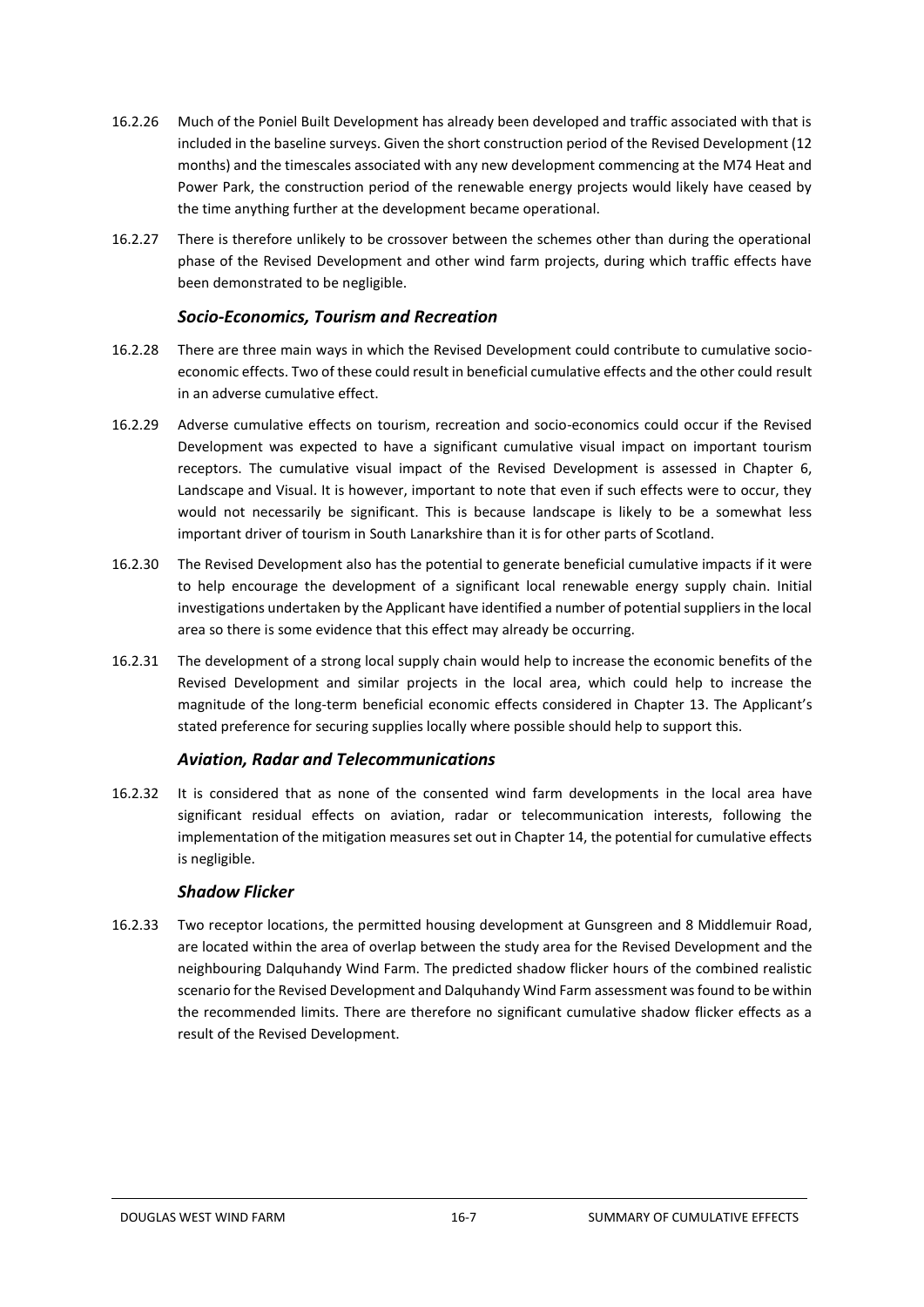- 16.2.26 Much of the Poniel Built Development has already been developed and traffic associated with that is included in the baseline surveys. Given the short construction period of the Revised Development (12 months) and the timescales associated with any new development commencing at the M74 Heat and Power Park, the construction period of the renewable energy projects would likely have ceased by the time anything further at the development became operational.
- 16.2.27 There is therefore unlikely to be crossover between the schemes other than during the operational phase of the Revised Development and other wind farm projects, during which traffic effects have been demonstrated to be negligible.

#### *Socio-Economics, Tourism and Recreation*

- 16.2.28 There are three main ways in which the Revised Development could contribute to cumulative socioeconomic effects. Two of these could result in beneficial cumulative effects and the other could result in an adverse cumulative effect.
- 16.2.29 Adverse cumulative effects on tourism, recreation and socio-economics could occur if the Revised Development was expected to have a significant cumulative visual impact on important tourism receptors. The cumulative visual impact of the Revised Development is assessed in Chapter 6, Landscape and Visual. It is however, important to note that even if such effects were to occur, they would not necessarily be significant. This is because landscape is likely to be a somewhat less important driver of tourism in South Lanarkshire than it is for other parts of Scotland.
- 16.2.30 The Revised Development also has the potential to generate beneficial cumulative impacts if it were to help encourage the development of a significant local renewable energy supply chain. Initial investigations undertaken by the Applicant have identified a number of potential suppliers in the local area so there is some evidence that this effect may already be occurring.
- 16.2.31 The development of a strong local supply chain would help to increase the economic benefits of the Revised Development and similar projects in the local area, which could help to increase the magnitude of the long-term beneficial economic effects considered in Chapter 13. The Applicant's stated preference for securing supplies locally where possible should help to support this.

#### *Aviation, Radar and Telecommunications*

16.2.32 It is considered that as none of the consented wind farm developments in the local area have significant residual effects on aviation, radar or telecommunication interests, following the implementation of the mitigation measures set out in Chapter 14, the potential for cumulative effects is negligible.

#### *Shadow Flicker*

16.2.33 Two receptor locations, the permitted housing development at Gunsgreen and 8 Middlemuir Road, are located within the area of overlap between the study area for the Revised Development and the neighbouring Dalquhandy Wind Farm. The predicted shadow flicker hours of the combined realistic scenario for the Revised Development and Dalquhandy Wind Farm assessment was found to be within the recommended limits. There are therefore no significant cumulative shadow flicker effects as a result of the Revised Development.